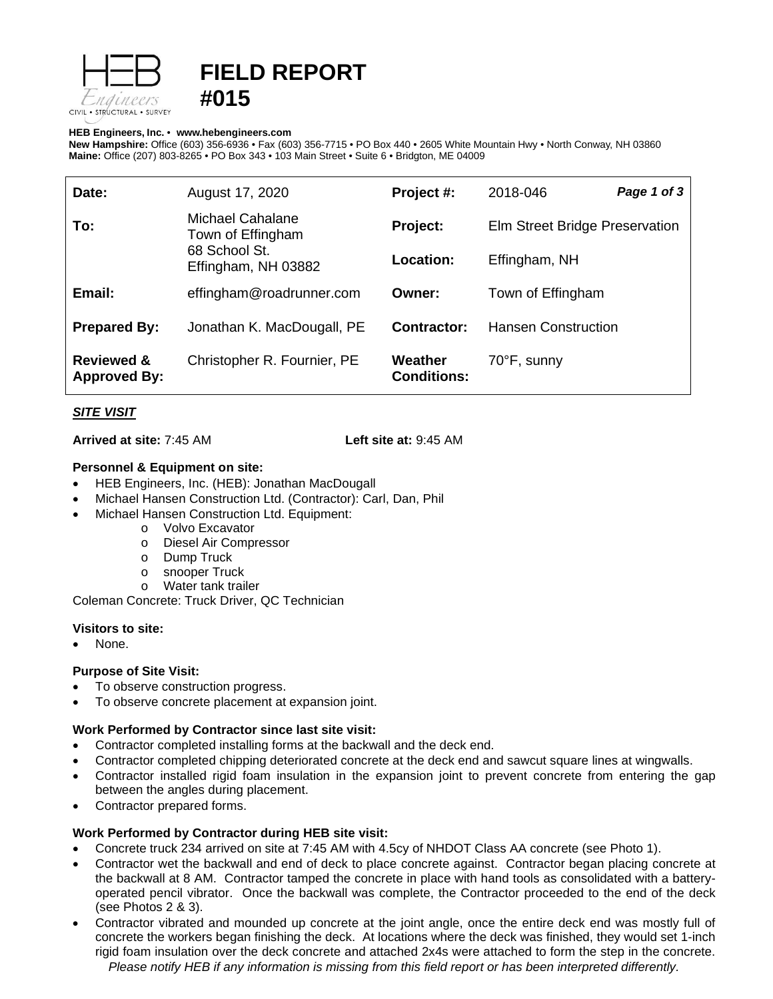

# **FIELD REPORT #015**

#### **HEB Engineers, Inc.** • **[www.hebengineer](http://www.hebengineers.com/)s.com**

**New Hampshire:** Office (603) 356-6936 • Fax (603) 356-7715 • PO Box 440 • 2605 White Mountain Hwy • North Conway, NH 03860 **Maine:** Office (207) 803-8265 • PO Box 343 • 103 Main Street • Suite 6 • Bridgton, ME 04009

| Date:                                        | August 17, 2020                                                               | Project #:                    | 2018-046                       | Page 1 of 3 |
|----------------------------------------------|-------------------------------------------------------------------------------|-------------------------------|--------------------------------|-------------|
| To:                                          | Michael Cahalane<br>Town of Effingham<br>68 School St.<br>Effingham, NH 03882 | Project:                      | Elm Street Bridge Preservation |             |
|                                              |                                                                               | Location:                     | Effingham, NH                  |             |
| Email:                                       | effingham@roadrunner.com                                                      | Owner:                        | Town of Effingham              |             |
| <b>Prepared By:</b>                          | Jonathan K. MacDougall, PE                                                    | Contractor:                   | <b>Hansen Construction</b>     |             |
| <b>Reviewed &amp;</b><br><b>Approved By:</b> | Christopher R. Fournier, PE                                                   | Weather<br><b>Conditions:</b> | 70°F, sunny                    |             |

## *SITE VISIT*

**Arrived at site:** 7:45 AM **Left site at:** 9:45 AM

## **Personnel & Equipment on site:**

- HEB Engineers, Inc. (HEB): Jonathan MacDougall
- Michael Hansen Construction Ltd. (Contractor): Carl, Dan, Phil
- Michael Hansen Construction Ltd. Equipment:
	- o Volvo Excavator
	- o Diesel Air Compressor
	-
	- o Dump Truck<br>o snooper Truc o snooper Truck<br>o Water tank trai
	- Water tank trailer

Coleman Concrete: Truck Driver, QC Technician

## **Visitors to site:**

None.

## **Purpose of Site Visit:**

- To observe construction progress.
- To observe concrete placement at expansion joint.

## **Work Performed by Contractor since last site visit:**

- Contractor completed installing forms at the backwall and the deck end.
- Contractor completed chipping deteriorated concrete at the deck end and sawcut square lines at wingwalls.
- Contractor installed rigid foam insulation in the expansion joint to prevent concrete from entering the gap between the angles during placement.
- Contractor prepared forms.

## **Work Performed by Contractor during HEB site visit:**

- Concrete truck 234 arrived on site at 7:45 AM with 4.5cy of NHDOT Class AA concrete (see Photo 1).
- Contractor wet the backwall and end of deck to place concrete against. Contractor began placing concrete at the backwall at 8 AM. Contractor tamped the concrete in place with hand tools as consolidated with a batteryoperated pencil vibrator. Once the backwall was complete, the Contractor proceeded to the end of the deck (see Photos 2 & 3).
- *Please notify HEB if any information is missing from this field report or has been interpreted differently.* • Contractor vibrated and mounded up concrete at the joint angle, once the entire deck end was mostly full of concrete the workers began finishing the deck. At locations where the deck was finished, they would set 1-inch rigid foam insulation over the deck concrete and attached 2x4s were attached to form the step in the concrete.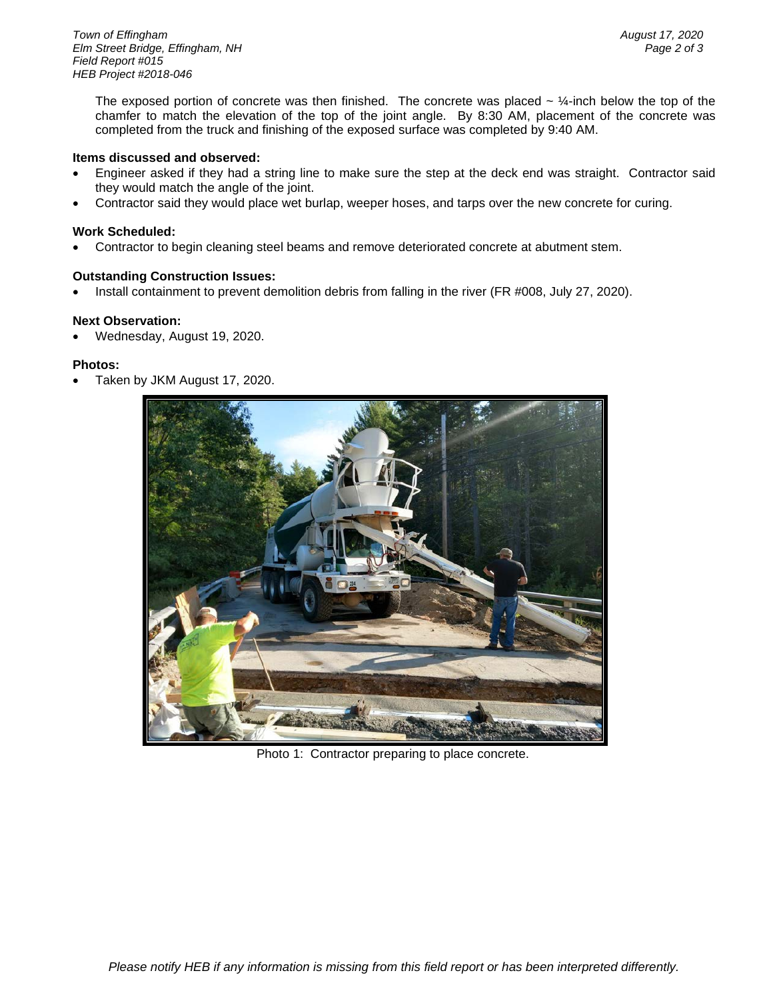The exposed portion of concrete was then finished. The concrete was placed  $\sim$  ¼-inch below the top of the chamfer to match the elevation of the top of the joint angle. By 8:30 AM, placement of the concrete was completed from the truck and finishing of the exposed surface was completed by 9:40 AM.

#### **Items discussed and observed:**

- Engineer asked if they had a string line to make sure the step at the deck end was straight. Contractor said they would match the angle of the joint.
- Contractor said they would place wet burlap, weeper hoses, and tarps over the new concrete for curing.

### **Work Scheduled:**

• Contractor to begin cleaning steel beams and remove deteriorated concrete at abutment stem.

### **Outstanding Construction Issues:**

• Install containment to prevent demolition debris from falling in the river (FR #008, July 27, 2020).

#### **Next Observation:**

• Wednesday, August 19, 2020.

#### **Photos:**

• Taken by JKM August 17, 2020.



Photo 1: Contractor preparing to place concrete.